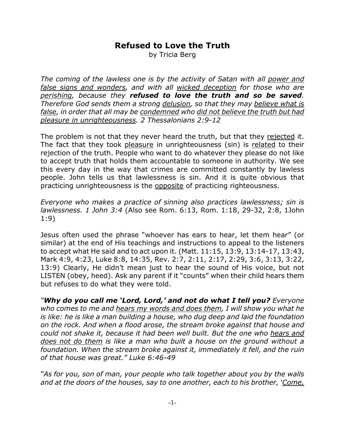## **Refused to Love the Truth**

by Tricia Berg

*The coming of the lawless one is by the activity of Satan with all power and false signs and wonders, and with all wicked deception for those who are perishing, because they refused to love the truth and so be saved. Therefore God sends them a strong delusion, so that they may believe what is false, in order that all may be condemned who did not believe the truth but had pleasure in unrighteousness. 2 Thessalonians 2:9-12*

The problem is not that they never heard the truth, but that they rejected it. The fact that they took pleasure in unrighteousness (sin) is related to their rejection of the truth. People who want to do whatever they please do not like to accept truth that holds them accountable to someone in authority. We see this every day in the way that crimes are committed constantly by lawless people. John tells us that lawlessness is sin. And it is quite obvious that practicing unrighteousness is the opposite of practicing righteousness.

*Everyone who makes a practice of sinning also practices lawlessness; sin is lawlessness. 1 John 3:4* (Also see Rom. 6:13, Rom. 1:18, 29-32, 2:8, 1John 1:9)

Jesus often used the phrase "whoever has ears to hear, let them hear" (or similar) at the end of His teachings and instructions to appeal to the listeners to accept what He said and to act upon it. (Matt. 11:15, 13:9, 13:14-17, 13:43, Mark 4:9, 4:23, Luke 8:8, 14:35, Rev. 2:7, 2:11, 2:17, 2:29, 3:6, 3:13, 3:22, 13:9) Clearly, He didn't mean just to hear the sound of His voice, but not LISTEN (obey, heed). Ask any parent if it "counts" when their child hears them but refuses to do what they were told.

*"Why do you call me 'Lord, Lord,' and not do what I tell you? Everyone who comes to me and hears my words and does them, I will show you what he is like: he is like a man building a house, who dug deep and laid the foundation on the rock. And when a flood arose, the stream broke against that house and could not shake it, because it had been well built. But the one who hears and does not do them is like a man who built a house on the ground without a foundation. When the stream broke against it, immediately it fell, and the ruin of that house was great." Luke 6:46-49*

*"As for you, son of man, your people who talk together about you by the walls and at the doors of the houses, say to one another, each to his brother, 'Come,*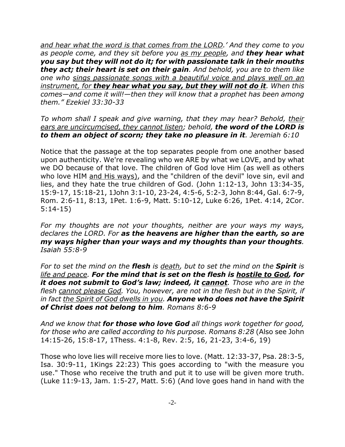*and hear what the word is that comes from the LORD.' And they come to you as people come, and they sit before you as my people, and they hear what you say but they will not do it; for with passionate talk in their mouths they act; their heart is set on their gain. And behold, you are to them like one who sings passionate songs with a beautiful voice and plays well on an instrument, for they hear what you say, but they will not do it. When this comes—and come it will!—then they will know that a prophet has been among them." Ezekiel 33:30-33*

*To whom shall I speak and give warning, that they may hear? Behold, their ears are uncircumcised, they cannot listen; behold, the word of the LORD is to them an object of scorn; they take no pleasure in it. Jeremiah 6:10*

Notice that the passage at the top separates people from one another based upon authenticity. We're revealing who we ARE by what we LOVE, and by what we DO because of that love. The children of God love Him (as well as others who love HIM and His ways), and the "children of the devil" love sin, evil and lies, and they hate the true children of God. (John 1:12-13, John 13:34-35, 15:9-17, 15:18-21, 1John 3:1-10, 23-24, 4:5-6, 5:2-3, John 8:44, Gal. 6:7-9, Rom. 2:6-11, 8:13, 1Pet. 1:6-9, Matt. 5:10-12, Luke 6:26, 1Pet. 4:14, 2Cor. 5:14-15)

*For my thoughts are not your thoughts, neither are your ways my ways, declares the LORD. For as the heavens are higher than the earth, so are my ways higher than your ways and my thoughts than your thoughts. Isaiah 55:8-9*

*For to set the mind on the flesh is death, but to set the mind on the Spirit is life and peace. For the mind that is set on the flesh is hostile to God, for it does not submit to God's law; indeed, it cannot. Those who are in the flesh cannot please God. You, however, are not in the flesh but in the Spirit, if in fact the Spirit of God dwells in you. Anyone who does not have the Spirit of Christ does not belong to him. Romans 8:6-9*

*And we know that for those who love God all things work together for good, for those who are called according to his purpose. Romans 8:28* (Also see John 14:15-26, 15:8-17, 1Thess. 4:1-8, Rev. 2:5, 16, 21-23, 3:4-6, 19)

Those who love lies will receive more lies to love. (Matt. 12:33-37, Psa. 28:3-5, Isa. 30:9-11, 1Kings 22:23) This goes according to "with the measure you use." Those who receive the truth and put it to use will be given more truth. (Luke 11:9-13, Jam. 1:5-27, Matt. 5:6) (And love goes hand in hand with the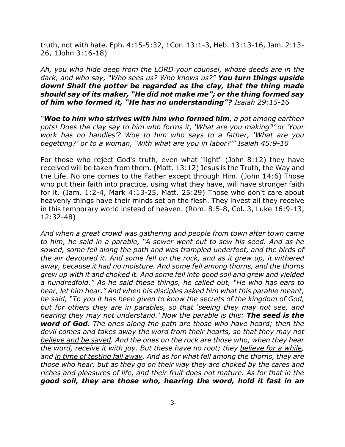truth, not with hate. Eph. 4:15-5:32, 1Cor. 13:1-3, Heb. 13:13-16, Jam. 2:13- 26, 1John 3:16-18)

*Ah, you who hide deep from the LORD your counsel, whose deeds are in the dark, and who say, "Who sees us? Who knows us?" You turn things upside down! Shall the potter be regarded as the clay, that the thing made should say of its maker, "He did not make me"; or the thing formed say of him who formed it, "He has no understanding"? Isaiah 29:15-16*

*"Woe to him who strives with him who formed him, a pot among earthen pots! Does the clay say to him who forms it, 'What are you making?' or 'Your work has no handles'? Woe to him who says to a father, 'What are you begetting?' or to a woman, 'With what are you in labor?'" Isaiah 45:9-10*

For those who reject God's truth, even what "light" (John 8:12) they have received will be taken from them. (Matt. 13:12) Jesus is the Truth, the Way and the Life. No one comes to the Father except through Him. (John 14:6) Those who put their faith into practice, using what they have, will have stronger faith for it. (Jam. 1:2-4, Mark 4:13-25, Matt. 25:29) Those who don't care about heavenly things have their minds set on the flesh. They invest all they receive in this temporary world instead of heaven. (Rom. 8:5-8, Col. 3, Luke 16:9-13, 12:32-48)

*And when a great crowd was gathering and people from town after town came to him, he said in a parable, "A sower went out to sow his seed. And as he sowed, some fell along the path and was trampled underfoot, and the birds of the air devoured it. And some fell on the rock, and as it grew up, it withered away, because it had no moisture. And some fell among thorns, and the thorns grew up with it and choked it. And some fell into good soil and grew and yielded a hundredfold." As he said these things, he called out, "He who has ears to hear, let him hear." And when his disciples asked him what this parable meant, he said, "To you it has been given to know the secrets of the kingdom of God, but for others they are in parables, so that 'seeing they may not see, and hearing they may not understand.' Now the parable is this: The seed is the word of God. The ones along the path are those who have heard; then the devil comes and takes away the word from their hearts, so that they may not believe and be saved. And the ones on the rock are those who, when they hear the word, receive it with joy. But these have no root; they believe for a while, and in time of testing fall away. And as for what fell among the thorns, they are those who hear, but as they go on their way they are choked by the cares and riches and pleasures of life, and their fruit does not mature. As for that in the good soil, they are those who, hearing the word, hold it fast in an*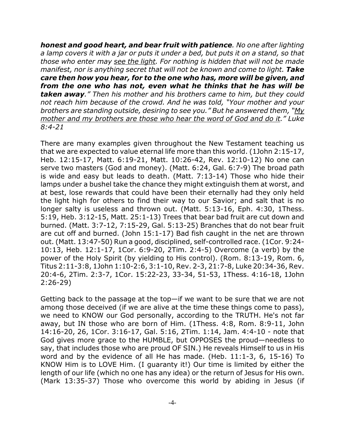*honest and good heart, and bear fruit with patience. No one after lighting a lamp covers it with a jar or puts it under a bed, but puts it on a stand, so that those who enter may see the light. For nothing is hidden that will not be made manifest, nor is anything secret that will not be known and come to light. Take care then how you hear, for to the one who has, more will be given, and from the one who has not, even what he thinks that he has will be taken away." Then his mother and his brothers came to him, but they could not reach him because of the crowd. And he was told, "Your mother and your brothers are standing outside, desiring to see you." But he answered them, "My mother and my brothers are those who hear the word of God and do it." Luke 8:4-21*

There are many examples given throughout the New Testament teaching us that we are expected to value eternal life more than this world. (1John 2:15-17, Heb. 12:15-17, Matt. 6:19-21, Matt. 10:26-42, Rev. 12:10-12) No one can serve two masters (God and money). (Matt. 6:24, Gal. 6:7-9) The broad path is wide and easy but leads to death. (Matt. 7:13-14) Those who hide their lamps under a bushel take the chance they might extinguish them at worst, and at best, lose rewards that could have been their eternally had they only held the light high for others to find their way to our Savior; and salt that is no longer salty is useless and thrown out. (Matt. 5:13-16, Eph. 4:30, 1Thess. 5:19, Heb. 3:12-15, Matt. 25:1-13) Trees that bear bad fruit are cut down and burned. (Matt. 3:7-12, 7:15-29, Gal. 5:13-25) Branches that do not bear fruit are cut off and burned. (John 15:1-17) Bad fish caught in the net are thrown out. (Matt. 13:47-50) Run a good, disciplined, self-controlled race. (1Cor. 9:24- 10:13, Heb. 12:1-17, 1Cor. 6:9-20, 2Tim. 2:4-5) Overcome (a verb) by the power of the Holy Spirit (by yielding to His control). (Rom. 8:13-19, Rom. 6, Titus 2:11-3:8, 1John 1:10-2:6, 3:1-10, Rev. 2-3, 21:7-8, Luke 20:34-36, Rev. 20:4-6, 2Tim. 2:3-7, 1Cor. 15:22-23, 33-34, 51-53, 1Thess. 4:16-18, 1John 2:26-29)

Getting back to the passage at the top—if we want to be sure that we are not among those deceived (if we are alive at the time these things come to pass), we need to KNOW our God personally, according to the TRUTH. He's not far away, but IN those who are born of Him. (1Thess. 4:8, Rom. 8:9-11, John 14:16-20, 26, 1Cor. 3:16-17, Gal. 5:16, 2Tim. 1:14, Jam. 4:4-10 - note that God gives more grace to the HUMBLE, but OPPOSES the proud—needless to say, that includes those who are proud OF SIN.) He reveals Himself to us in His word and by the evidence of all He has made. (Heb. 11:1-3, 6, 15-16) To KNOW Him is to LOVE Him. (I guaranty it!) Our time is limited by either the length of our life (which no one has any idea) or the return of Jesus for His own. (Mark 13:35-37) Those who overcome this world by abiding in Jesus (if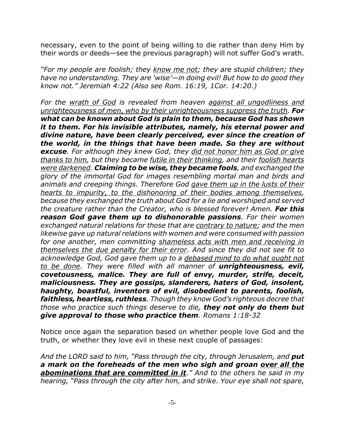necessary, even to the point of being willing to die rather than deny Him by their words or deeds—see the previous paragraph) will not suffer God's wrath.

*"For my people are foolish; they know me not; they are stupid children; they have no understanding. They are 'wise'—in doing evil! But how to do good they know not." Jeremiah 4:22 (Also see Rom. 16:19, 1Cor. 14:20.)*

*For the wrath of God is revealed from heaven against all ungodliness and unrighteousness of men, who by their unrighteousness suppress the truth. For what can be known about God is plain to them, because God has shown it to them. For his invisible attributes, namely, his eternal power and divine nature, have been clearly perceived, ever since the creation of the world, in the things that have been made. So they are without excuse. For although they knew God, they did not honor him as God or give thanks to him, but they became futile in their thinking, and their foolish hearts were darkened. Claiming to be wise, they became fools, and exchanged the glory of the immortal God for images resembling mortal man and birds and animals and creeping things. Therefore God gave them up in the lusts of their hearts to impurity, to the dishonoring of their bodies among themselves, because they exchanged the truth about God for a lie and worshiped and served the creature rather than the Creator, who is blessed forever! Amen. For this reason God gave them up to dishonorable passions. For their women exchanged natural relations for those that are contrary to nature; and the men likewise gave up natural relations with women and were consumed with passion for one another, men committing shameless acts with men and receiving in themselves the due penalty for their error. And since they did not see fit to acknowledge God, God gave them up to a debased mind to do what ought not to be done. They were filled with all manner of unrighteousness, evil, covetousness, malice. They are full of envy, murder, strife, deceit, maliciousness. They are gossips, slanderers, haters of God, insolent, haughty, boastful, inventors of evil, disobedient to parents, foolish, faithless, heartless, ruthless. Though they know God's righteous decree that those who practice such things deserve to die, they not only do them but give approval to those who practice them. Romans 1:18-32*

Notice once again the separation based on whether people love God and the truth, or whether they love evil in these next couple of passages:

*And the LORD said to him, "Pass through the city, through Jerusalem, and put a mark on the foreheads of the men who sigh and groan over all the abominations that are committed in it." And to the others he said in my hearing, "Pass through the city after him, and strike. Your eye shall not spare,*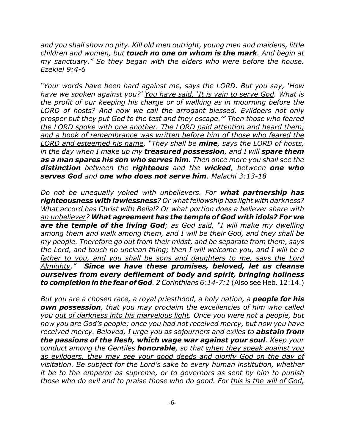*and you shall show no pity. Kill old men outright, young men and maidens, little children and women, but touch no one on whom is the mark. And begin at my sanctuary." So they began with the elders who were before the house. Ezekiel 9:4-6*

*"Your words have been hard against me, says the LORD. But you say, 'How have we spoken against you?' You have said, 'It is vain to serve God. What is the profit of our keeping his charge or of walking as in mourning before the LORD of hosts? And now we call the arrogant blessed. Evildoers not only prosper but they put God to the test and they escape.'" Then those who feared the LORD spoke with one another. The LORD paid attention and heard them, and a book of remembrance was written before him of those who feared the LORD and esteemed his name. "They shall be mine, says the LORD of hosts, in the day when I make up my treasured possession, and I will spare them as a man spares his son who serves him. Then once more you shall see the distinction between the righteous and the wicked, between one who serves God and one who does not serve him. Malachi 3:13-18*

*Do not be unequally yoked with unbelievers. For what partnership has righteousness with lawlessness? Or what fellowship has light with darkness? What accord has Christ with Belial? Or what portion does a believer share with an unbeliever? What agreement has the temple of God with idols? For we are the temple of the living God; as God said, "I will make my dwelling among them and walk among them, and I will be their God, and they shall be my people. Therefore go out from their midst, and be separate from them, says the Lord, and touch no unclean thing; then I will welcome you, and I will be a father to you, and you shall be sons and daughters to me, says the Lord Almighty." Since we have these promises, beloved, let us cleanse ourselves from every defilement of body and spirit, bringing holiness to completion in the fear of God. 2 Corinthians 6:14-7:1* (Also see Heb. 12:14.)

*But you are a chosen race, a royal priesthood, a holy nation, a people for his own possession, that you may proclaim the excellencies of him who called you out of darkness into his marvelous light. Once you were not a people, but now you are God's people; once you had not received mercy, but now you have received mercy. Beloved, I urge you as sojourners and exiles to abstain from the passions of the flesh, which wage war against your soul. Keep your conduct among the Gentiles honorable, so that when they speak against you as evildoers, they may see your good deeds and glorify God on the day of visitation. Be subject for the Lord's sake to every human institution, whether it be to the emperor as supreme, or to governors as sent by him to punish those who do evil and to praise those who do good. For this is the will of God,*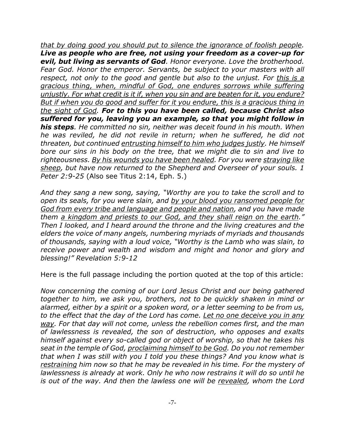*that by doing good you should put to silence the ignorance of foolish people. Live as people who are free, not using your freedom as a cover-up for evil, but living as servants of God. Honor everyone. Love the brotherhood. Fear God. Honor the emperor. Servants, be subject to your masters with all respect, not only to the good and gentle but also to the unjust. For this is a gracious thing, when, mindful of God, one endures sorrows while suffering unjustly. For what credit is it if, when you sin and are beaten for it, you endure? But if when you do good and suffer for it you endure, this is a gracious thing in the sight of God. For to this you have been called, because Christ also suffered for you, leaving you an example, so that you might follow in his steps. He committed no sin, neither was deceit found in his mouth. When he was reviled, he did not revile in return; when he suffered, he did not threaten, but continued entrusting himself to him who judges justly. He himself bore our sins in his body on the tree, that we might die to sin and live to righteousness. By his wounds you have been healed. For you were straying like sheep, but have now returned to the Shepherd and Overseer of your souls. 1 Peter 2:9-25* (Also see Titus 2:14, Eph. 5.)

*And they sang a new song, saying, "Worthy are you to take the scroll and to open its seals, for you were slain, and by your blood you ransomed people for God from every tribe and language and people and nation, and you have made them a kingdom and priests to our God, and they shall reign on the earth." Then I looked, and I heard around the throne and the living creatures and the elders the voice of many angels, numbering myriads of myriads and thousands of thousands, saying with a loud voice, "Worthy is the Lamb who was slain, to receive power and wealth and wisdom and might and honor and glory and blessing!" Revelation 5:9-12*

Here is the full passage including the portion quoted at the top of this article:

*Now concerning the coming of our Lord Jesus Christ and our being gathered together to him, we ask you, brothers, not to be quickly shaken in mind or alarmed, either by a spirit or a spoken word, or a letter seeming to be from us, to the effect that the day of the Lord has come. Let no one deceive you in any way. For that day will not come, unless the rebellion comes first, and the man of lawlessness is revealed, the son of destruction, who opposes and exalts himself against every so-called god or object of worship, so that he takes his seat in the temple of God, proclaiming himself to be God. Do you not remember that when I was still with you I told you these things? And you know what is restraining him now so that he may be revealed in his time. For the mystery of lawlessness is already at work. Only he who now restrains it will do so until he is out of the way. And then the lawless one will be revealed, whom the Lord*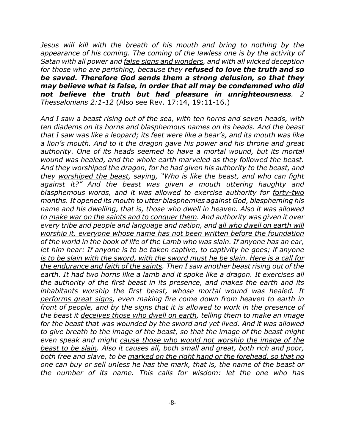*Jesus will kill with the breath of his mouth and bring to nothing by the appearance of his coming. The coming of the lawless one is by the activity of Satan with all power and false signs and wonders, and with all wicked deception for those who are perishing, because they refused to love the truth and so be saved. Therefore God sends them a strong delusion, so that they may believe what is false, in order that all may be condemned who did not believe the truth but had pleasure in unrighteousness. 2 Thessalonians 2:1-12* (Also see Rev. 17:14, 19:11-16.)

*And I saw a beast rising out of the sea, with ten horns and seven heads, with ten diadems on its horns and blasphemous names on its heads. And the beast that I saw was like a leopard; its feet were like a bear's, and its mouth was like a lion's mouth. And to it the dragon gave his power and his throne and great authority. One of its heads seemed to have a mortal wound, but its mortal wound was healed, and the whole earth marveled as they followed the beast. And they worshiped the dragon, for he had given his authority to the beast, and they worshiped the beast, saying, "Who is like the beast, and who can fight against it?" And the beast was given a mouth uttering haughty and blasphemous words, and it was allowed to exercise authority for forty-two months. It opened its mouth to utter blasphemies against God, blaspheming his name and his dwelling, that is, those who dwell in heaven. Also it was allowed to make war on the saints and to conquer them. And authority was given it over every tribe and people and language and nation, and all who dwell on earth will worship it, everyone whose name has not been written before the foundation of the world in the book of life of the Lamb who was slain. If anyone has an ear, let him hear: If anyone is to be taken captive, to captivity he goes; if anyone is to be slain with the sword, with the sword must he be slain. Here is a call for the endurance and faith of the saints. Then I saw another beast rising out of the earth. It had two horns like a lamb and it spoke like a dragon. It exercises all the authority of the first beast in its presence, and makes the earth and its inhabitants worship the first beast, whose mortal wound was healed. It performs great signs, even making fire come down from heaven to earth in front of people, and by the signs that it is allowed to work in the presence of the beast it deceives those who dwell on earth, telling them to make an image for the beast that was wounded by the sword and yet lived. And it was allowed to give breath to the image of the beast, so that the image of the beast might even speak and might cause those who would not worship the image of the beast to be slain. Also it causes all, both small and great, both rich and poor, both free and slave, to be marked on the right hand or the forehead, so that no one can buy or sell unless he has the mark, that is, the name of the beast or the number of its name. This calls for wisdom: let the one who has*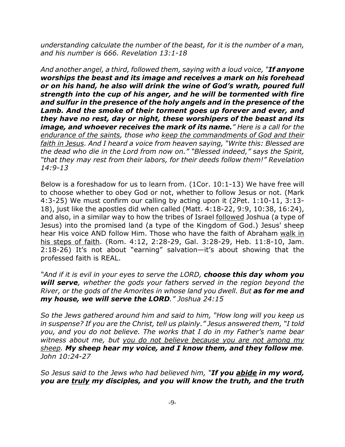*understanding calculate the number of the beast, for it is the number of a man, and his number is 666. Revelation 13:1-18*

*And another angel, a third, followed them, saying with a loud voice, "If anyone worships the beast and its image and receives a mark on his forehead or on his hand, he also will drink the wine of God's wrath, poured full strength into the cup of his anger, and he will be tormented with fire and sulfur in the presence of the holy angels and in the presence of the Lamb. And the smoke of their torment goes up forever and ever, and they have no rest, day or night, these worshipers of the beast and its image, and whoever receives the mark of its name." Here is a call for the endurance of the saints, those who keep the commandments of God and their faith in Jesus. And I heard a voice from heaven saying, "Write this: Blessed are the dead who die in the Lord from now on." "Blessed indeed," says the Spirit, "that they may rest from their labors, for their deeds follow them!" Revelation 14:9-13*

Below is a foreshadow for us to learn from. (1Cor. 10:1-13) We have free will to choose whether to obey God or not, whether to follow Jesus or not. (Mark 4:3-25) We must confirm our calling by acting upon it (2Pet. 1:10-11, 3:13- 18), just like the apostles did when called (Matt. 4:18-22, 9:9, 10:38, 16:24), and also, in a similar way to how the tribes of Israel followed Joshua (a type of Jesus) into the promised land (a type of the Kingdom of God.) Jesus' sheep hear His voice AND follow Him. Those who have the faith of Abraham walk in his steps of faith. (Rom. 4:12, 2:28-29, Gal. 3:28-29, Heb. 11:8-10, Jam. 2:18-26) It's not about "earning" salvation—it's about showing that the professed faith is REAL.

*"And if it is evil in your eyes to serve the LORD, choose this day whom you will serve, whether the gods your fathers served in the region beyond the River, or the gods of the Amorites in whose land you dwell. But as for me and my house, we will serve the LORD." Joshua 24:15*

*So the Jews gathered around him and said to him, "How long will you keep us in suspense? If you are the Christ, tell us plainly." Jesus answered them, "I told you, and you do not believe. The works that I do in my Father's name bear witness about me, but you do not believe because you are not among my sheep. My sheep hear my voice, and I know them, and they follow me. John 10:24-27*

*So Jesus said to the Jews who had believed him, "If you abide in my word, you are truly my disciples, and you will know the truth, and the truth*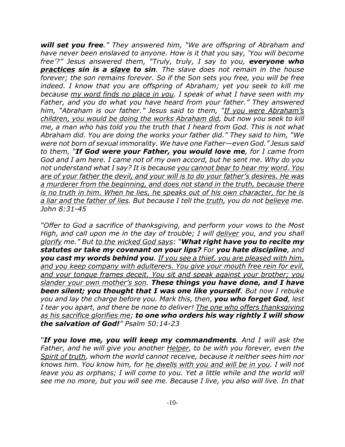*will set you free." They answered him, "We are offspring of Abraham and have never been enslaved to anyone. How is it that you say, 'You will become free'?" Jesus answered them, "Truly, truly, I say to you, everyone who practices sin is a slave to sin. The slave does not remain in the house forever; the son remains forever. So if the Son sets you free, you will be free indeed. I know that you are offspring of Abraham; yet you seek to kill me because my word finds no place in you. I speak of what I have seen with my Father, and you do what you have heard from your father." They answered him, "Abraham is our father." Jesus said to them, "If you were Abraham's children, you would be doing the works Abraham did, but now you seek to kill me, a man who has told you the truth that I heard from God. This is not what Abraham did. You are doing the works your father did." They said to him, "We were not born of sexual immorality. We have one Father—even God." Jesus said to them, "If God were your Father, you would love me, for I came from God and I am here. I came not of my own accord, but he sent me. Why do you not understand what I say? It is because you cannot bear to hear my word. You are of your father the devil, and your will is to do your father's desires. He was a murderer from the beginning, and does not stand in the truth, because there is no truth in him. When he lies, he speaks out of his own character, for he is a liar and the father of lies. But because I tell the truth, you do not believe me. John 8:31-45*

*"Offer to God a sacrifice of thanksgiving, and perform your vows to the Most High, and call upon me in the day of trouble; I will deliver you, and you shall glorify me." But to the wicked God says: "What right have you to recite my statutes or take my covenant on your lips? For you hate discipline, and you cast my words behind you. If you see a thief, you are pleased with him, and you keep company with adulterers. You give your mouth free rein for evil, and your tongue frames deceit. You sit and speak against your brother; you slander your own mother's son. These things you have done, and I have been silent; you thought that I was one like yourself. But now I rebuke you and lay the charge before you. Mark this, then, you who forget God, lest I tear you apart, and there be none to deliver! The one who offers thanksgiving as his sacrifice glorifies me; to one who orders his way rightly I will show the salvation of God!" Psalm 50:14-23*

*"If you love me, you will keep my commandments. And I will ask the Father, and he will give you another Helper, to be with you forever, even the Spirit of truth, whom the world cannot receive, because it neither sees him nor knows him. You know him, for he dwells with you and will be in you. I will not leave you as orphans; I will come to you. Yet a little while and the world will see me no more, but you will see me. Because I live, you also will live. In that*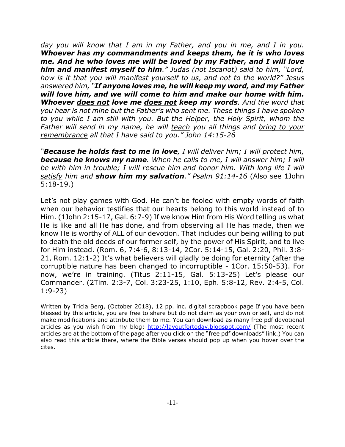*day you will know that I am in my Father, and you in me, and I in you. Whoever has my commandments and keeps them, he it is who loves me. And he who loves me will be loved by my Father, and I will love him and manifest myself to him." Judas (not Iscariot) said to him, "Lord, how is it that you will manifest yourself to us, and not to the world?" Jesus answered him, "If anyone loves me, he will keep my word, and my Father will love him, and we will come to him and make our home with him. Whoever does not love me does not keep my words. And the word that you hear is not mine but the Father's who sent me. These things I have spoken to you while I am still with you. But the Helper, the Holy Spirit, whom the Father will send in my name, he will teach you all things and bring to your remembrance all that I have said to you." John 14:15-26*

*"Because he holds fast to me in love, I will deliver him; I will protect him, because he knows my name. When he calls to me, I will answer him; I will* be with him in trouble; I will rescue him and honor him. With long life I will *satisfy him and show him my salvation." Psalm 91:14-16* (Also see 1John 5:18-19.)

Let's not play games with God. He can't be fooled with empty words of faith when our behavior testifies that our hearts belong to this world instead of to Him. (1John 2:15-17, Gal. 6:7-9) If we know Him from His Word telling us what He is like and all He has done, and from observing all He has made, then we know He is worthy of ALL of our devotion. That includes our being willing to put to death the old deeds of our former self, by the power of His Spirit, and to live for Him instead. (Rom. 6, 7:4-6, 8:13-14, 2Cor. 5:14-15, Gal. 2:20, Phil. 3:8- 21, Rom. 12:1-2) It's what believers will gladly be doing for eternity (after the corruptible nature has been changed to incorruptible - 1Cor. 15:50-53). For now, we're in training. (Titus 2:11-15, Gal. 5:13-25) Let's please our Commander. (2Tim. 2:3-7, Col. 3:23-25, 1:10, Eph. 5:8-12, Rev. 2:4-5, Col. 1:9-23)

Written by Tricia Berg, (October 2018), 12 pp. inc. digital scrapbook page If you have been blessed by this article, you are free to share but do not claim as your own or sell, and do not make modifications and attribute them to me. You can download as many free pdf devotional articles as you wish from my blog: http://layoutfortoday.blogspot.com/ (The most recent articles are at the bottom of the page after you click on the "free pdf downloads" link.) You can also read this article there, where the Bible verses should pop up when you hover over the cites.